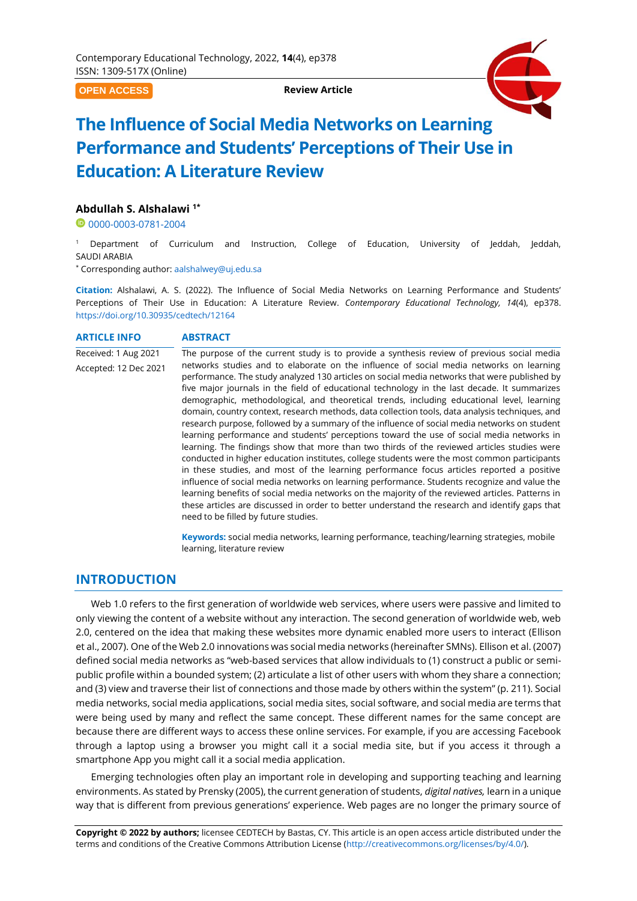**OPEN ACCESS**

**Review Article**



# **The Influence of Social Media Networks on Learning Performance and Students' Perceptions of Their Use in Education: A Literature Review**

## **Abdullah S. Alshalawi 1\***

<sup>0</sup>[0000-0003-0781-2004](https://orcid.org/0000-0003-0781-2004)

Department of Curriculum and Instruction, College of Education, University of Jeddah, Jeddah, SAUDI ARABIA

\* Corresponding author: [aalshalwey@uj.edu.sa](mailto:aalshalwey@uj.edu.sa)

**Citation:** Alshalawi, A. S. (2022). The Influence of Social Media Networks on Learning Performance and Students' Perceptions of Their Use in Education: A Literature Review. *Contemporary Educational Technology, 14*(4), ep378. <https://doi.org/10.30935/cedtech/12164>

#### **ARTICLE INFO ABSTRACT**

Received: 1 Aug 2021 Accepted: 12 Dec 2021 The purpose of the current study is to provide a synthesis review of previous social media networks studies and to elaborate on the influence of social media networks on learning performance. The study analyzed 130 articles on social media networks that were published by five major journals in the field of educational technology in the last decade. It summarizes demographic, methodological, and theoretical trends, including educational level, learning domain, country context, research methods, data collection tools, data analysis techniques, and research purpose, followed by a summary of the influence of social media networks on student learning performance and students' perceptions toward the use of social media networks in learning. The findings show that more than two thirds of the reviewed articles studies were conducted in higher education institutes, college students were the most common participants in these studies, and most of the learning performance focus articles reported a positive influence of social media networks on learning performance. Students recognize and value the learning benefits of social media networks on the majority of the reviewed articles. Patterns in these articles are discussed in order to better understand the research and identify gaps that need to be filled by future studies.

> **Keywords:** social media networks, learning performance, teaching/learning strategies, mobile learning, literature review

# **INTRODUCTION**

Web 1.0 refers to the first generation of worldwide web services, where users were passive and limited to only viewing the content of a website without any interaction. The second generation of worldwide web, web 2.0, centered on the idea that making these websites more dynamic enabled more users to interact (Ellison et al., 2007). One of the Web 2.0 innovations was social media networks (hereinafter SMNs). Ellison et al. (2007) defined social media networks as "web-based services that allow individuals to (1) construct a public or semipublic profile within a bounded system; (2) articulate a list of other users with whom they share a connection; and (3) view and traverse their list of connections and those made by others within the system" (p. 211). Social media networks, social media applications, social media sites, social software, and social media are terms that were being used by many and reflect the same concept. These different names for the same concept are because there are different ways to access these online services. For example, if you are accessing Facebook through a laptop using a browser you might call it a social media site, but if you access it through a smartphone App you might call it a social media application.

Emerging technologies often play an important role in developing and supporting teaching and learning environments. As stated by Prensky (2005), the current generation of students, *digital natives,* learn in a unique way that is different from previous generations' experience. Web pages are no longer the primary source of

**Copyright © 2022 by authors;** licensee CEDTECH by Bastas, CY. This article is an open access article distributed under the terms and conditions of the Creative Commons Attribution License [\(http://creativecommons.org/licenses/by/4.0/\)](http://creativecommons.org/licenses/by/4.0/).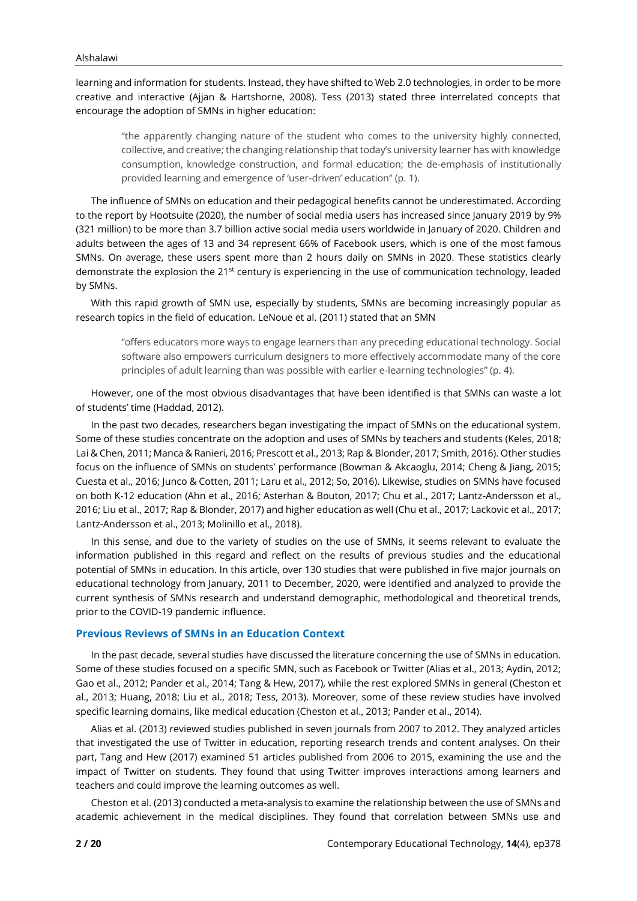learning and information for students. Instead, they have shifted to Web 2.0 technologies, in order to be more creative and interactive (Ajjan & Hartshorne, 2008). Tess (2013) stated three interrelated concepts that encourage the adoption of SMNs in higher education:

"the apparently changing nature of the student who comes to the university highly connected, collective, and creative; the changing relationship that today's university learner has with knowledge consumption, knowledge construction, and formal education; the de-emphasis of institutionally provided learning and emergence of 'user-driven' education" (p. 1).

The influence of SMNs on education and their pedagogical benefits cannot be underestimated. According to the report by Hootsuite (2020), the number of social media users has increased since January 2019 by 9% (321 million) to be more than 3.7 billion active social media users worldwide in January of 2020. Children and adults between the ages of 13 and 34 represent 66% of Facebook users, which is one of the most famous SMNs. On average, these users spent more than 2 hours daily on SMNs in 2020. These statistics clearly demonstrate the explosion the 21<sup>st</sup> century is experiencing in the use of communication technology, leaded by SMNs.

With this rapid growth of SMN use, especially by students, SMNs are becoming increasingly popular as research topics in the field of education. LeNoue et al. (2011) stated that an SMN

"offers educators more ways to engage learners than any preceding educational technology. Social software also empowers curriculum designers to more effectively accommodate many of the core principles of adult learning than was possible with earlier e-learning technologies" (p. 4).

However, one of the most obvious disadvantages that have been identified is that SMNs can waste a lot of students' time (Haddad, 2012).

In the past two decades, researchers began investigating the impact of SMNs on the educational system. Some of these studies concentrate on the adoption and uses of SMNs by teachers and students (Keles, 2018; Lai & Chen, 2011; Manca & Ranieri, 2016; Prescott et al., 2013; Rap & Blonder, 2017; Smith, 2016). Other studies focus on the influence of SMNs on students' performance (Bowman & Akcaoglu, 2014; Cheng & Jiang, 2015; Cuesta et al., 2016; Junco & Cotten, 2011; Laru et al., 2012; So, 2016). Likewise, studies on SMNs have focused on both K-12 education (Ahn et al., 2016; Asterhan & Bouton, 2017; Chu et al., 2017; Lantz-Andersson et al., 2016; Liu et al., 2017; Rap & Blonder, 2017) and higher education as well (Chu et al., 2017; Lackovic et al., 2017; Lantz-Andersson et al., 2013; Molinillo et al., 2018).

In this sense, and due to the variety of studies on the use of SMNs, it seems relevant to evaluate the information published in this regard and reflect on the results of previous studies and the educational potential of SMNs in education. In this article, over 130 studies that were published in five major journals on educational technology from January, 2011 to December, 2020, were identified and analyzed to provide the current synthesis of SMNs research and understand demographic, methodological and theoretical trends, prior to the COVID-19 pandemic influence.

## **Previous Reviews of SMNs in an Education Context**

In the past decade, several studies have discussed the literature concerning the use of SMNs in education. Some of these studies focused on a specific SMN, such as Facebook or Twitter (Alias et al., 2013; Aydin, 2012; Gao et al., 2012; Pander et al., 2014; Tang & Hew, 2017), while the rest explored SMNs in general (Cheston et al., 2013; Huang, 2018; Liu et al., 2018; Tess, 2013). Moreover, some of these review studies have involved specific learning domains, like medical education (Cheston et al., 2013; Pander et al., 2014).

Alias et al. (2013) reviewed studies published in seven journals from 2007 to 2012. They analyzed articles that investigated the use of Twitter in education, reporting research trends and content analyses. On their part, Tang and Hew (2017) examined 51 articles published from 2006 to 2015, examining the use and the impact of Twitter on students. They found that using Twitter improves interactions among learners and teachers and could improve the learning outcomes as well.

Cheston et al. (2013) conducted a meta-analysis to examine the relationship between the use of SMNs and academic achievement in the medical disciplines. They found that correlation between SMNs use and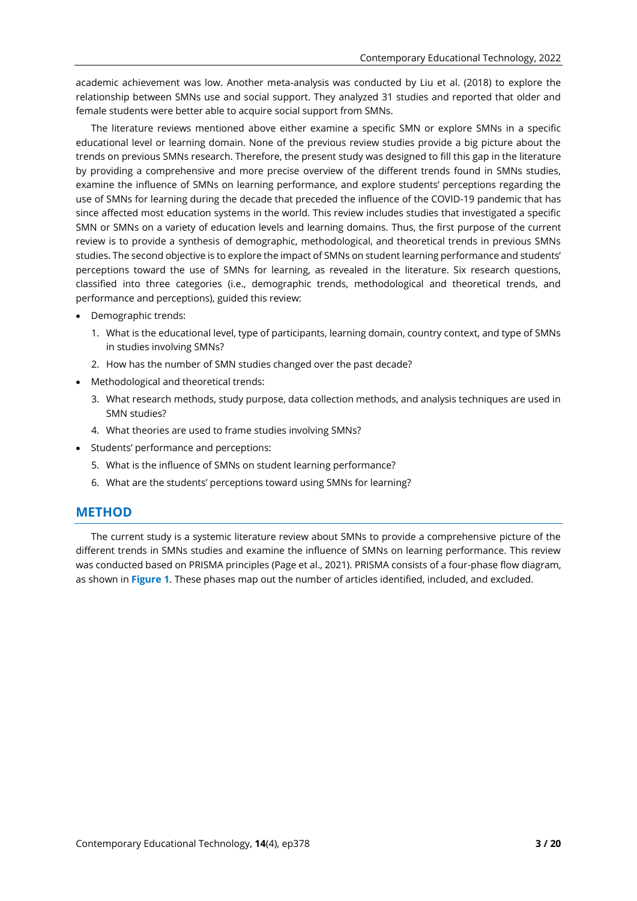academic achievement was low. Another meta-analysis was conducted by Liu et al. (2018) to explore the relationship between SMNs use and social support. They analyzed 31 studies and reported that older and female students were better able to acquire social support from SMNs.

The literature reviews mentioned above either examine a specific SMN or explore SMNs in a specific educational level or learning domain. None of the previous review studies provide a big picture about the trends on previous SMNs research. Therefore, the present study was designed to fill this gap in the literature by providing a comprehensive and more precise overview of the different trends found in SMNs studies, examine the influence of SMNs on learning performance, and explore students' perceptions regarding the use of SMNs for learning during the decade that preceded the influence of the COVID-19 pandemic that has since affected most education systems in the world. This review includes studies that investigated a specific SMN or SMNs on a variety of education levels and learning domains. Thus, the first purpose of the current review is to provide a synthesis of demographic, methodological, and theoretical trends in previous SMNs studies. The second objective is to explore the impact of SMNs on student learning performance and students' perceptions toward the use of SMNs for learning, as revealed in the literature. Six research questions, classified into three categories (i.e., demographic trends, methodological and theoretical trends, and performance and perceptions), guided this review:

- Demographic trends:
	- 1. What is the educational level, type of participants, learning domain, country context, and type of SMNs in studies involving SMNs?
	- 2. How has the number of SMN studies changed over the past decade?
- Methodological and theoretical trends:
	- 3. What research methods, study purpose, data collection methods, and analysis techniques are used in SMN studies?
	- 4. What theories are used to frame studies involving SMNs?
- Students' performance and perceptions:
	- 5. What is the influence of SMNs on student learning performance?
	- 6. What are the students' perceptions toward using SMNs for learning?

# **METHOD**

The current study is a systemic literature review about SMNs to provide a comprehensive picture of the different trends in SMNs studies and examine the influence of SMNs on learning performance. This review was conducted based on PRISMA principles (Page et al., 2021). PRISMA consists of a four-phase flow diagram, as shown in **Figure 1**. These phases map out the number of articles identified, included, and excluded.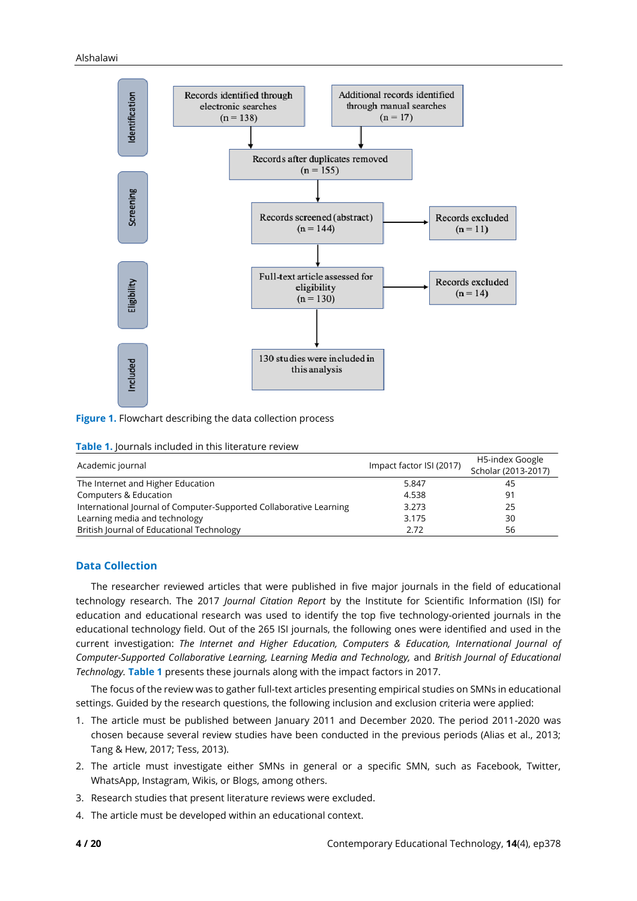

**Figure 1.** Flowchart describing the data collection process

| <b>Table 1.</b> Journals included in this literature review |                          |                     |
|-------------------------------------------------------------|--------------------------|---------------------|
| Academic journal                                            | Impact factor ISI (2017) | H5-index Google     |
|                                                             |                          | Scholar (2013-2017) |
| The Internet and Higher Education                           | 5.847                    | 45                  |
| Computers & Education                                       | 4.538                    | -91                 |

International Journal of Computer-Supported Collaborative Learning 3.273 25 Learning media and technology 3.175 30 British Journal of Educational Technology **2.72** 56

**Table 1.** Journals included in this literature review

## **Data Collection**

The researcher reviewed articles that were published in five major journals in the field of educational technology research. The 2017 *Journal Citation Report* by the Institute for Scientific Information (ISI) for education and educational research was used to identify the top five technology-oriented journals in the educational technology field. Out of the 265 ISI journals, the following ones were identified and used in the current investigation: *The Internet and Higher Education, Computers & Education, International Journal of Computer-Supported Collaborative Learning, Learning Media and Technology,* and *British Journal of Educational Technology.* **Table 1** presents these journals along with the impact factors in 2017.

The focus of the review was to gather full-text articles presenting empirical studies on SMNs in educational settings. Guided by the research questions, the following inclusion and exclusion criteria were applied:

- 1. The article must be published between January 2011 and December 2020. The period 2011-2020 was chosen because several review studies have been conducted in the previous periods (Alias et al., 2013; Tang & Hew, 2017; Tess, 2013).
- 2. The article must investigate either SMNs in general or a specific SMN, such as Facebook, Twitter, WhatsApp, Instagram, Wikis, or Blogs, among others.
- 3. Research studies that present literature reviews were excluded.
- 4. The article must be developed within an educational context.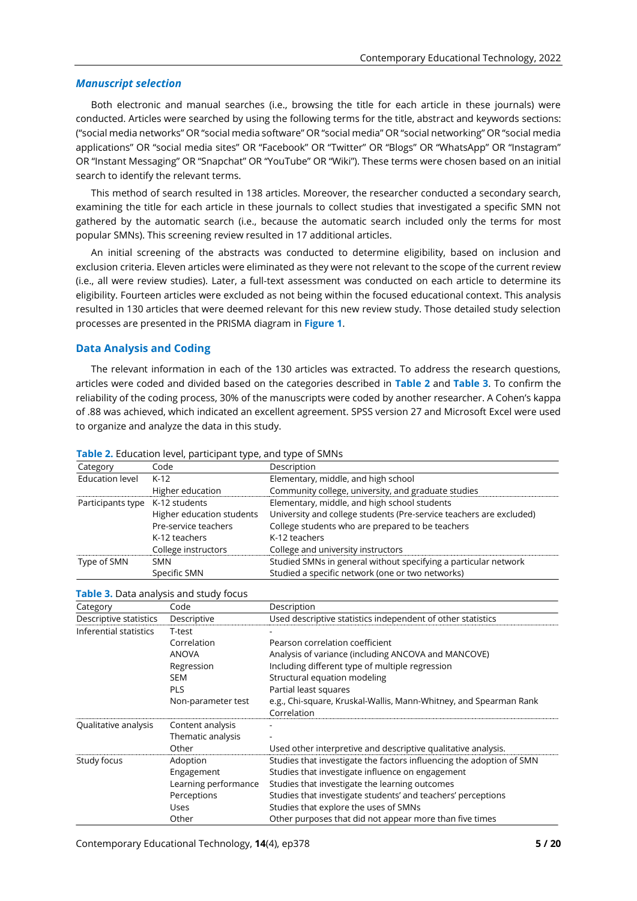## *Manuscript selection*

Both electronic and manual searches (i.e., browsing the title for each article in these journals) were conducted. Articles were searched by using the following terms for the title, abstract and keywords sections: ("social media networks" OR "social media software" OR "social media" OR "social networking" OR "social media applications" OR "social media sites" OR "Facebook" OR "Twitter" OR "Blogs" OR "WhatsApp" OR "Instagram" OR "Instant Messaging" OR "Snapchat" OR "YouTube" OR "Wiki"). These terms were chosen based on an initial search to identify the relevant terms.

This method of search resulted in 138 articles. Moreover, the researcher conducted a secondary search, examining the title for each article in these journals to collect studies that investigated a specific SMN not gathered by the automatic search (i.e., because the automatic search included only the terms for most popular SMNs). This screening review resulted in 17 additional articles.

An initial screening of the abstracts was conducted to determine eligibility, based on inclusion and exclusion criteria. Eleven articles were eliminated as they were not relevant to the scope of the current review (i.e., all were review studies). Later, a full-text assessment was conducted on each article to determine its eligibility. Fourteen articles were excluded as not being within the focused educational context. This analysis resulted in 130 articles that were deemed relevant for this new review study. Those detailed study selection processes are presented in the PRISMA diagram in **Figure 1**.

## **Data Analysis and Coding**

The relevant information in each of the 130 articles was extracted. To address the research questions, articles were coded and divided based on the categories described in **Table 2** and **Table 3**. To confirm the reliability of the coding process, 30% of the manuscripts were coded by another researcher. A Cohen's kappa of .88 was achieved, which indicated an excellent agreement. SPSS version 27 and Microsoft Excel were used to organize and analyze the data in this study.

| Category                        | Code                      | Description                                                         |
|---------------------------------|---------------------------|---------------------------------------------------------------------|
| <b>Education level</b>          | K-12                      | Elementary, middle, and high school                                 |
|                                 | Higher education          | Community college, university, and graduate studies                 |
| Participants type K-12 students |                           | Elementary, middle, and high school students                        |
|                                 | Higher education students | University and college students (Pre-service teachers are excluded) |
|                                 | Pre-service teachers      | College students who are prepared to be teachers                    |
|                                 | K-12 teachers             | K-12 teachers                                                       |
|                                 | College instructors       | College and university instructors                                  |
| Type of SMN                     | <b>SMN</b>                | Studied SMNs in general without specifying a particular network     |
|                                 | Specific SMN              | Studied a specific network (one or two networks)                    |

#### **Table 2.** Education level, participant type, and type of SMNs

#### **Table 3.** Data analysis and study focus

| Category               | Code                 | Description                                                          |
|------------------------|----------------------|----------------------------------------------------------------------|
| Descriptive statistics | Descriptive          | Used descriptive statistics independent of other statistics          |
| Inferential statistics | T-test               |                                                                      |
|                        | Correlation          | Pearson correlation coefficient                                      |
|                        | <b>ANOVA</b>         | Analysis of variance (including ANCOVA and MANCOVE)                  |
|                        | Regression           | Including different type of multiple regression                      |
|                        | <b>SEM</b>           | Structural equation modeling                                         |
|                        | <b>PLS</b>           | Partial least squares                                                |
|                        | Non-parameter test   | e.g., Chi-square, Kruskal-Wallis, Mann-Whitney, and Spearman Rank    |
|                        |                      | Correlation                                                          |
| Qualitative analysis   | Content analysis     |                                                                      |
|                        | Thematic analysis    |                                                                      |
|                        | Other                | Used other interpretive and descriptive qualitative analysis.        |
| Study focus            | Adoption             | Studies that investigate the factors influencing the adoption of SMN |
|                        | Engagement           | Studies that investigate influence on engagement                     |
|                        | Learning performance | Studies that investigate the learning outcomes                       |
|                        | Perceptions          | Studies that investigate students' and teachers' perceptions         |
|                        | <b>Uses</b>          | Studies that explore the uses of SMNs                                |
|                        | Other                | Other purposes that did not appear more than five times              |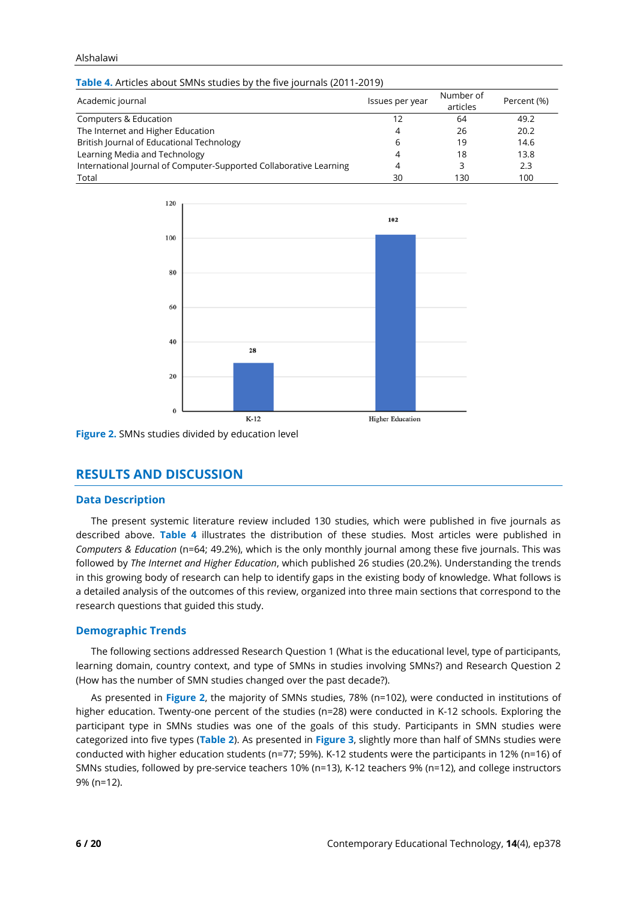#### Alshalawi

| Table 4. Articles about SMNs studies by the five journals (2011-2019) |  |  |
|-----------------------------------------------------------------------|--|--|
|                                                                       |  |  |

| Academic journal                                                   | Issues per year | Number of<br>articles | Percent (%) |
|--------------------------------------------------------------------|-----------------|-----------------------|-------------|
| Computers & Education                                              | 12              | 64                    | 49.2        |
| The Internet and Higher Education                                  | 4               | 26                    | 20.2        |
| British Journal of Educational Technology                          | 6               | 19                    | 14.6        |
| Learning Media and Technology                                      | 4               | 18                    | 13.8        |
| International Journal of Computer-Supported Collaborative Learning | 4               |                       | 2.3         |
| Total                                                              | 30              | 130                   | 100         |



**Figure 2.** SMNs studies divided by education level

# **RESULTS AND DISCUSSION**

# **Data Description**

The present systemic literature review included 130 studies, which were published in five journals as described above. **Table 4** illustrates the distribution of these studies. Most articles were published in *Computers & Education* (n=64; 49.2%), which is the only monthly journal among these five journals. This was followed by *The Internet and Higher Education*, which published 26 studies (20.2%). Understanding the trends in this growing body of research can help to identify gaps in the existing body of knowledge. What follows is a detailed analysis of the outcomes of this review, organized into three main sections that correspond to the research questions that guided this study.

# **Demographic Trends**

The following sections addressed Research Question 1 (What is the educational level, type of participants, learning domain, country context, and type of SMNs in studies involving SMNs?) and Research Question 2 (How has the number of SMN studies changed over the past decade?).

As presented in **Figure 2**, the majority of SMNs studies, 78% (n=102), were conducted in institutions of higher education. Twenty-one percent of the studies (n=28) were conducted in K-12 schools. Exploring the participant type in SMNs studies was one of the goals of this study. Participants in SMN studies were categorized into five types (**Table 2**). As presented in **Figure 3**, slightly more than half of SMNs studies were conducted with higher education students (n=77; 59%). K-12 students were the participants in 12% (n=16) of SMNs studies, followed by pre-service teachers 10% (n=13), K-12 teachers 9% (n=12), and college instructors 9% (n=12).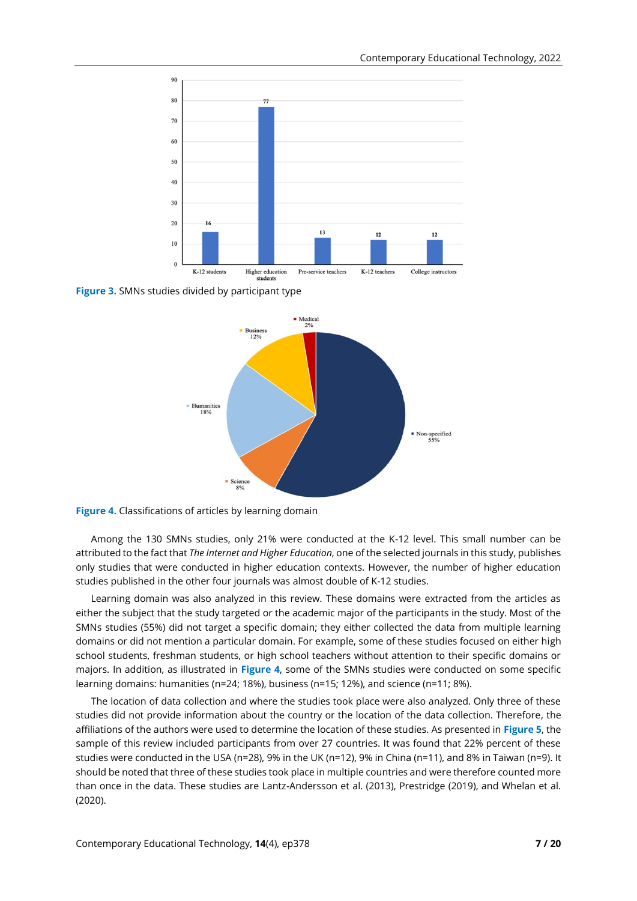

**Figure 3.** SMNs studies divided by participant type



**Figure 4.** Classifications of articles by learning domain

Among the 130 SMNs studies, only 21% were conducted at the K-12 level. This small number can be attributed to the fact that *The Internet and Higher Education*, one of the selected journals in this study, publishes only studies that were conducted in higher education contexts. However, the number of higher education studies published in the other four journals was almost double of K-12 studies.

Learning domain was also analyzed in this review. These domains were extracted from the articles as either the subject that the study targeted or the academic major of the participants in the study. Most of the SMNs studies (55%) did not target a specific domain; they either collected the data from multiple learning domains or did not mention a particular domain. For example, some of these studies focused on either high school students, freshman students, or high school teachers without attention to their specific domains or majors. In addition, as illustrated in **Figure 4**, some of the SMNs studies were conducted on some specific learning domains: humanities (n=24; 18%), business (n=15; 12%), and science (n=11; 8%).

The location of data collection and where the studies took place were also analyzed. Only three of these studies did not provide information about the country or the location of the data collection. Therefore, the affiliations of the authors were used to determine the location of these studies. As presented in **Figure 5**, the sample of this review included participants from over 27 countries. It was found that 22% percent of these studies were conducted in the USA (n=28), 9% in the UK (n=12), 9% in China (n=11), and 8% in Taiwan (n=9). It should be noted that three of these studies took place in multiple countries and were therefore counted more than once in the data. These studies are Lantz-Andersson et al. (2013), Prestridge (2019), and Whelan et al. (2020).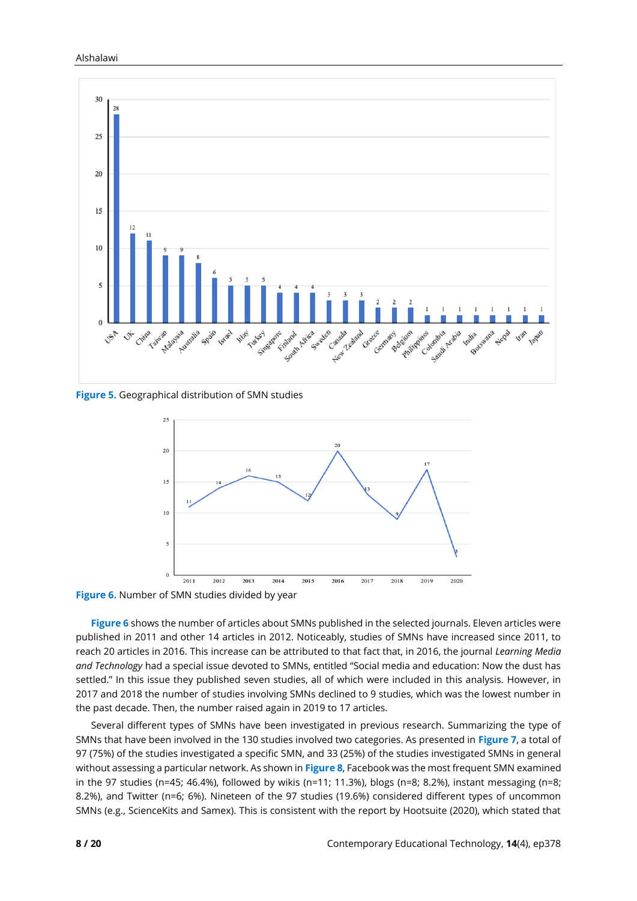

**Figure 5.** Geographical distribution of SMN studies



**Figure 6.** Number of SMN studies divided by year

**Figure 6** shows the number of articles about SMNs published in the selected journals. Eleven articles were published in 2011 and other 14 articles in 2012. Noticeably, studies of SMNs have increased since 2011, to reach 20 articles in 2016. This increase can be attributed to that fact that, in 2016, the journal *Learning Media and Technology* had a special issue devoted to SMNs, entitled "Social media and education: Now the dust has settled." In this issue they published seven studies, all of which were included in this analysis. However, in 2017 and 2018 the number of studies involving SMNs declined to 9 studies, which was the lowest number in the past decade. Then, the number raised again in 2019 to 17 articles.

Several different types of SMNs have been investigated in previous research. Summarizing the type of SMNs that have been involved in the 130 studies involved two categories. As presented in **Figure 7**, a total of 97 (75%) of the studies investigated a specific SMN, and 33 (25%) of the studies investigated SMNs in general without assessing a particular network. As shown in **Figure 8**, Facebook was the most frequent SMN examined in the 97 studies (n=45; 46.4%), followed by wikis (n=11; 11.3%), blogs (n=8; 8.2%), instant messaging (n=8; 8.2%), and Twitter (n=6; 6%). Nineteen of the 97 studies (19.6%) considered different types of uncommon SMNs (e.g., ScienceKits and Samex). This is consistent with the report by Hootsuite (2020), which stated that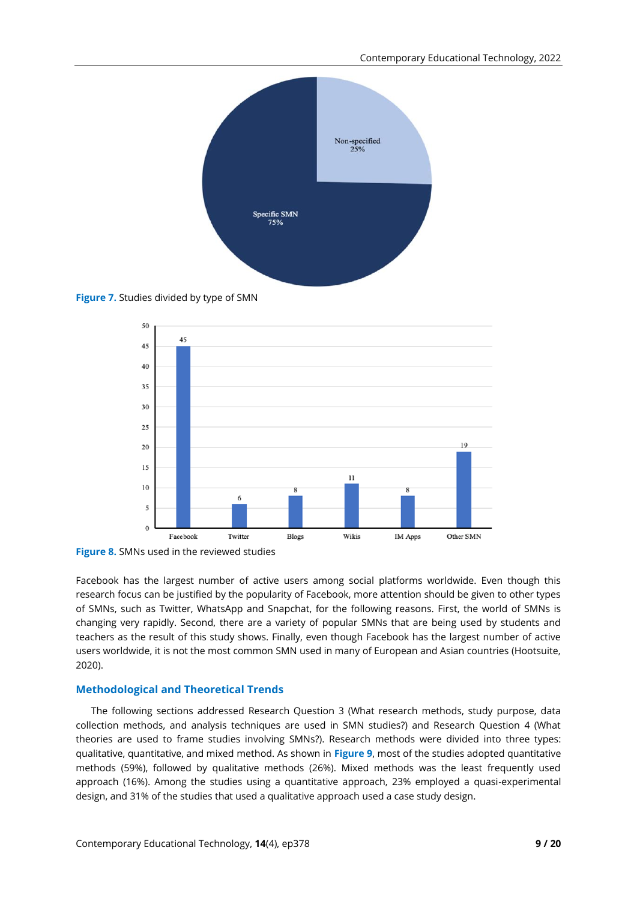

**Figure 7.** Studies divided by type of SMN



**Figure 8.** SMNs used in the reviewed studies

Facebook has the largest number of active users among social platforms worldwide. Even though this research focus can be justified by the popularity of Facebook, more attention should be given to other types of SMNs, such as Twitter, WhatsApp and Snapchat, for the following reasons. First, the world of SMNs is changing very rapidly. Second, there are a variety of popular SMNs that are being used by students and teachers as the result of this study shows. Finally, even though Facebook has the largest number of active users worldwide, it is not the most common SMN used in many of European and Asian countries (Hootsuite, 2020).

## **Methodological and Theoretical Trends**

The following sections addressed Research Question 3 (What research methods, study purpose, data collection methods, and analysis techniques are used in SMN studies?) and Research Question 4 (What theories are used to frame studies involving SMNs?). Research methods were divided into three types: qualitative, quantitative, and mixed method. As shown in **Figure 9**, most of the studies adopted quantitative methods (59%), followed by qualitative methods (26%). Mixed methods was the least frequently used approach (16%). Among the studies using a quantitative approach, 23% employed a quasi-experimental design, and 31% of the studies that used a qualitative approach used a case study design.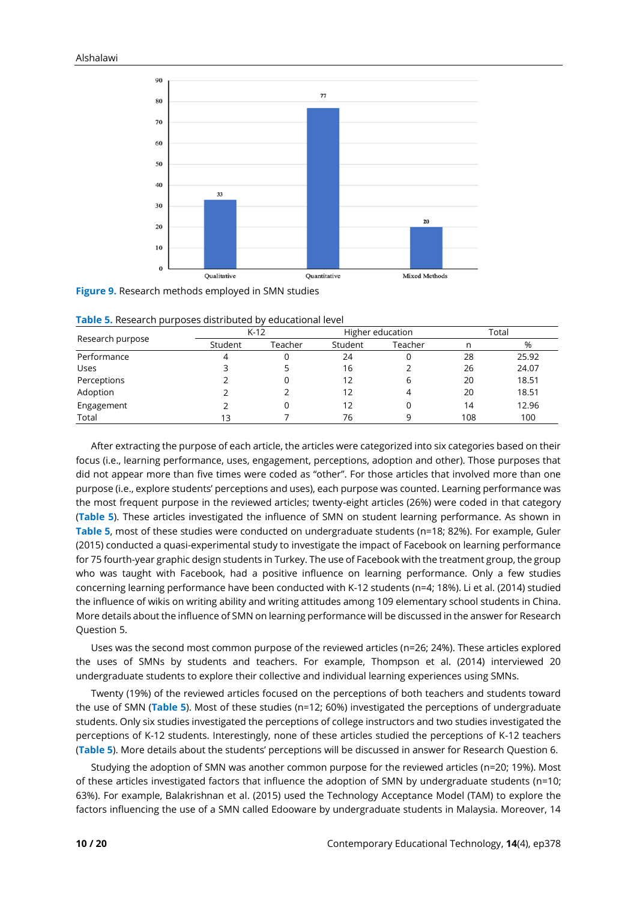

**Figure 9.** Research methods employed in SMN studies

|                  | $K-12$             |   |         | Higher education | Total |       |
|------------------|--------------------|---|---------|------------------|-------|-------|
| Research purpose | Student<br>Teacher |   | Student | Teacher          |       | %     |
| Performance      |                    | 0 | 24      |                  | 28    | 25.92 |
| Uses             |                    |   | 16      |                  | 26    | 24.07 |
| Perceptions      |                    |   | 12      | b                | 20    | 18.51 |
| Adoption         |                    |   | 12      | 4                | 20    | 18.51 |
| Engagement       |                    | 0 | 12      |                  | 14    | 12.96 |
| Total            | 13                 |   | 76      | a                | 108   | 100   |

**Table 5.** Research purposes distributed by educational level

After extracting the purpose of each article, the articles were categorized into six categories based on their focus (i.e., learning performance, uses, engagement, perceptions, adoption and other). Those purposes that did not appear more than five times were coded as "other". For those articles that involved more than one purpose (i.e., explore students' perceptions and uses), each purpose was counted. Learning performance was the most frequent purpose in the reviewed articles; twenty-eight articles (26%) were coded in that category (**Table 5**). These articles investigated the influence of SMN on student learning performance. As shown in **Table 5**, most of these studies were conducted on undergraduate students (n=18; 82%). For example, Guler (2015) conducted a quasi-experimental study to investigate the impact of Facebook on learning performance for 75 fourth-year graphic design students in Turkey. The use of Facebook with the treatment group, the group who was taught with Facebook, had a positive influence on learning performance. Only a few studies concerning learning performance have been conducted with K-12 students (n=4; 18%). Li et al. (2014) studied the influence of wikis on writing ability and writing attitudes among 109 elementary school students in China. More details about the influence of SMN on learning performance will be discussed in the answer for Research Question 5.

Uses was the second most common purpose of the reviewed articles (n=26; 24%). These articles explored the uses of SMNs by students and teachers. For example, Thompson et al. (2014) interviewed 20 undergraduate students to explore their collective and individual learning experiences using SMNs.

Twenty (19%) of the reviewed articles focused on the perceptions of both teachers and students toward the use of SMN (**Table 5**). Most of these studies (n=12; 60%) investigated the perceptions of undergraduate students. Only six studies investigated the perceptions of college instructors and two studies investigated the perceptions of K-12 students. Interestingly, none of these articles studied the perceptions of K-12 teachers (**Table 5**). More details about the students' perceptions will be discussed in answer for Research Question 6.

Studying the adoption of SMN was another common purpose for the reviewed articles (n=20; 19%). Most of these articles investigated factors that influence the adoption of SMN by undergraduate students (n=10; 63%). For example, Balakrishnan et al. (2015) used the Technology Acceptance Model (TAM) to explore the factors influencing the use of a SMN called Edooware by undergraduate students in Malaysia. Moreover, 14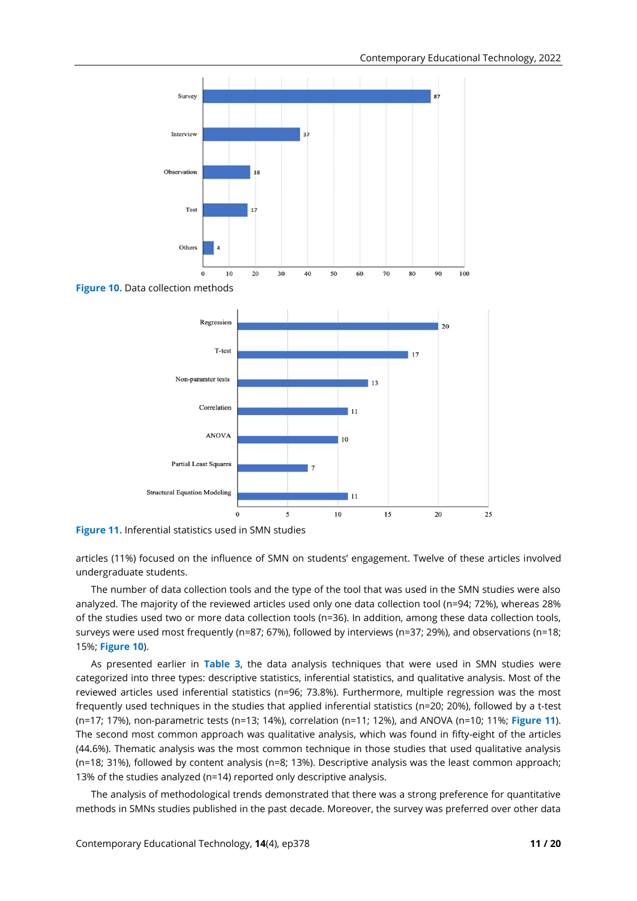

**Figure 11.** Inferential statistics used in SMN studies

articles (11%) focused on the influence of SMN on students' engagement. Twelve of these articles involved undergraduate students.

The number of data collection tools and the type of the tool that was used in the SMN studies were also analyzed. The majority of the reviewed articles used only one data collection tool (n=94; 72%), whereas 28% of the studies used two or more data collection tools (n=36). In addition, among these data collection tools, surveys were used most frequently (n=87; 67%), followed by interviews (n=37; 29%), and observations (n=18; 15%; **Figure 10**).

As presented earlier in **Table 3**, the data analysis techniques that were used in SMN studies were categorized into three types: descriptive statistics, inferential statistics, and qualitative analysis. Most of the reviewed articles used inferential statistics (n=96; 73.8%). Furthermore, multiple regression was the most frequently used techniques in the studies that applied inferential statistics (n=20; 20%), followed by a t-test (n=17; 17%), non-parametric tests (n=13; 14%), correlation (n=11; 12%), and ANOVA (n=10; 11%; **Figure 11**). The second most common approach was qualitative analysis, which was found in fifty-eight of the articles (44.6%). Thematic analysis was the most common technique in those studies that used qualitative analysis (n=18; 31%), followed by content analysis (n=8; 13%). Descriptive analysis was the least common approach; 13% of the studies analyzed (n=14) reported only descriptive analysis.

The analysis of methodological trends demonstrated that there was a strong preference for quantitative methods in SMNs studies published in the past decade. Moreover, the survey was preferred over other data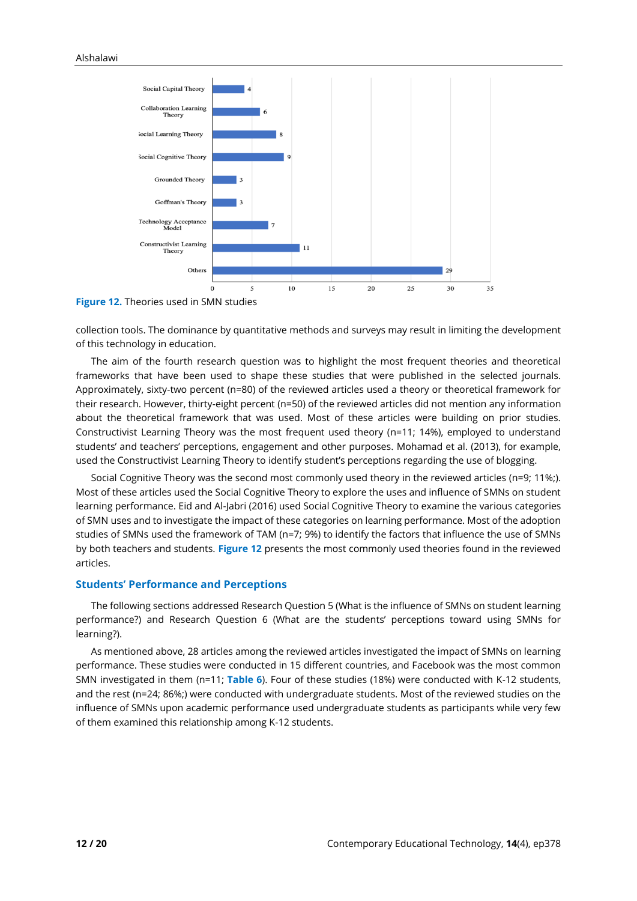

**Figure 12.** Theories used in SMN studies

collection tools. The dominance by quantitative methods and surveys may result in limiting the development of this technology in education.

The aim of the fourth research question was to highlight the most frequent theories and theoretical frameworks that have been used to shape these studies that were published in the selected journals. Approximately, sixty-two percent (n=80) of the reviewed articles used a theory or theoretical framework for their research. However, thirty-eight percent (n=50) of the reviewed articles did not mention any information about the theoretical framework that was used. Most of these articles were building on prior studies. Constructivist Learning Theory was the most frequent used theory (n=11; 14%), employed to understand students' and teachers' perceptions, engagement and other purposes. Mohamad et al. (2013), for example, used the Constructivist Learning Theory to identify student's perceptions regarding the use of blogging.

Social Cognitive Theory was the second most commonly used theory in the reviewed articles (n=9; 11%;). Most of these articles used the Social Cognitive Theory to explore the uses and influence of SMNs on student learning performance. Eid and Al-Jabri (2016) used Social Cognitive Theory to examine the various categories of SMN uses and to investigate the impact of these categories on learning performance. Most of the adoption studies of SMNs used the framework of TAM (n=7; 9%) to identify the factors that influence the use of SMNs by both teachers and students. **Figure 12** presents the most commonly used theories found in the reviewed articles.

## **Students' Performance and Perceptions**

The following sections addressed Research Question 5 (What is the influence of SMNs on student learning performance?) and Research Question 6 (What are the students' perceptions toward using SMNs for learning?).

As mentioned above, 28 articles among the reviewed articles investigated the impact of SMNs on learning performance. These studies were conducted in 15 different countries, and Facebook was the most common SMN investigated in them (n=11; **Table 6**). Four of these studies (18%) were conducted with K-12 students, and the rest (n=24; 86%;) were conducted with undergraduate students. Most of the reviewed studies on the influence of SMNs upon academic performance used undergraduate students as participants while very few of them examined this relationship among K-12 students.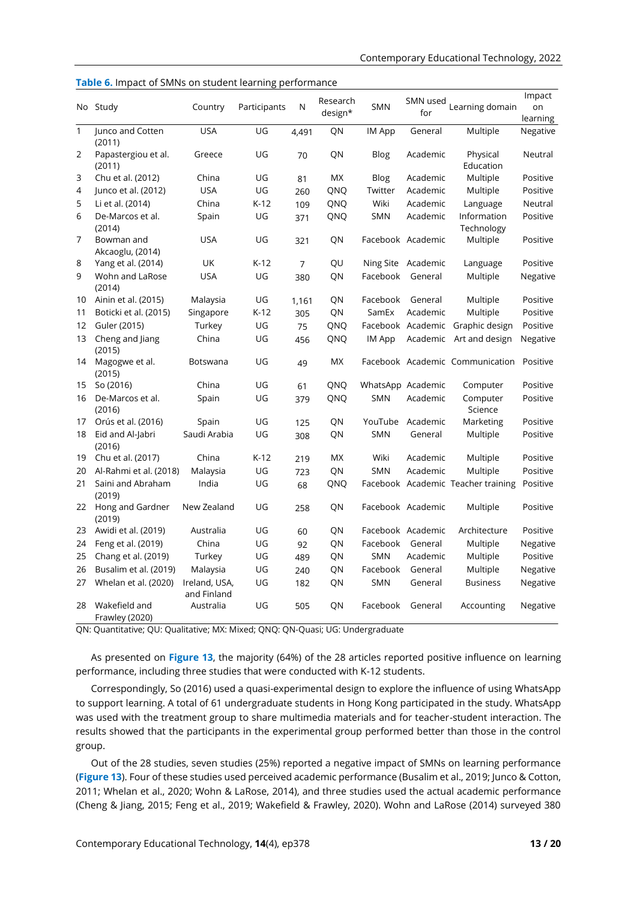|                | No Study                        | Country                      | Participants | N              | Research<br>design* | <b>SMN</b>        | SMN used<br>for   | Learning domain                    | Impact<br>on<br>learning |
|----------------|---------------------------------|------------------------------|--------------|----------------|---------------------|-------------------|-------------------|------------------------------------|--------------------------|
| $\mathbf{1}$   | Junco and Cotten                | <b>USA</b>                   | UG           | 4,491          | QN                  | IM App            | General           | Multiple                           | Negative                 |
|                | (2011)                          |                              |              |                |                     |                   |                   |                                    |                          |
| $\overline{2}$ | Papastergiou et al.<br>(2011)   | Greece                       | UG           | 70             | QN                  | Blog              | Academic          | Physical<br>Education              | Neutral                  |
| 3              | Chu et al. (2012)               | China                        | UG           | 81             | МX                  | Blog              | Academic          | Multiple                           | Positive                 |
| 4              | Junco et al. (2012)             | <b>USA</b>                   | UG           | 260            | QNQ                 | Twitter           | Academic          | Multiple                           | Positive                 |
| 5              | Li et al. (2014)                | China                        | $K-12$       | 109            | QNQ                 | Wiki              | Academic          | Language                           | Neutral                  |
| 6              | De-Marcos et al.<br>(2014)      | Spain                        | UG           | 371            | QNQ                 | SMN               | Academic          | Information<br>Technology          | Positive                 |
| 7              | Bowman and<br>Akcaoglu, (2014)  | <b>USA</b>                   | UG           | 321            | QN                  |                   | Facebook Academic | Multiple                           | Positive                 |
| 8              | Yang et al. (2014)              | UK                           | $K-12$       | $\overline{7}$ | QU                  | Ning Site         | Academic          | Language                           | Positive                 |
| 9              | Wohn and LaRose<br>(2014)       | <b>USA</b>                   | UG           | 380            | QN                  | Facebook          | General           | Multiple                           | Negative                 |
| 10             | Ainin et al. (2015)             | Malaysia                     | UG           | 1,161          | QN                  | Facebook          | General           | Multiple                           | Positive                 |
| 11             | Boticki et al. (2015)           | Singapore                    | $K-12$       | 305            | QN                  | SamEx             | Academic          | Multiple                           | Positive                 |
| 12             | Guler (2015)                    | Turkey                       | UG           | 75             | QNQ                 |                   |                   | Facebook Academic Graphic design   | Positive                 |
| 13             | Cheng and Jiang<br>(2015)       | China                        | UG           | 456            | QNQ                 | IM App            | Academic          | Art and design                     | Negative                 |
| 14             | Magogwe et al.<br>(2015)        | Botswana                     | UG           | 49             | <b>MX</b>           |                   |                   | Facebook Academic Communication    | Positive                 |
| 15             | So (2016)                       | China                        | UG           | 61             | QNQ                 | WhatsApp Academic |                   | Computer                           | Positive                 |
| 16             | De-Marcos et al.<br>(2016)      | Spain                        | UG           | 379            | QNQ                 | <b>SMN</b>        | Academic          | Computer<br>Science                | Positive                 |
| 17             | Orús et al. (2016)              | Spain                        | UG           | 125            | QN                  |                   | YouTube Academic  | Marketing                          | Positive                 |
| 18             | Eid and Al-Jabri<br>(2016)      | Saudi Arabia                 | UG           | 308            | QN                  | <b>SMN</b>        | General           | Multiple                           | Positive                 |
| 19             | Chu et al. (2017)               | China                        | $K-12$       | 219            | МX                  | Wiki              | Academic          | Multiple                           | Positive                 |
| 20             | Al-Rahmi et al. (2018)          | Malaysia                     | UG           | 723            | QN                  | <b>SMN</b>        | Academic          | Multiple                           | Positive                 |
| 21             | Saini and Abraham<br>(2019)     | India                        | UG           | 68             | QNQ                 |                   |                   | Facebook Academic Teacher training | Positive                 |
| 22             | Hong and Gardner<br>(2019)      | New Zealand                  | UG           | 258            | QN                  |                   | Facebook Academic | Multiple                           | Positive                 |
| 23             | Awidi et al. (2019)             | Australia                    | UG           | 60             | QN                  |                   | Facebook Academic | Architecture                       | Positive                 |
| 24             | Feng et al. (2019)              | China                        | UG           | 92             | QN                  | Facebook          | General           | Multiple                           | Negative                 |
| 25             | Chang et al. (2019)             | Turkey                       | UG           | 489            | QN                  | <b>SMN</b>        | Academic          | Multiple                           | Positive                 |
| 26             | Busalim et al. (2019)           | Malaysia                     | UG           | 240            | QN                  | Facebook          | General           | Multiple                           | Negative                 |
| 27             | Whelan et al. (2020)            | Ireland, USA,<br>and Finland | UG           | 182            | QN                  | <b>SMN</b>        | General           | <b>Business</b>                    | Negative                 |
| 28             | Wakefield and<br>Frawley (2020) | Australia                    | UG           | 505            | QN                  | Facebook          | General           | Accounting                         | Negative                 |

**Table 6.** Impact of SMNs on student learning performance

QN: Quantitative; QU: Qualitative; MX: Mixed; QNQ: QN-Quasi; UG: Undergraduate

As presented on **Figure 13**, the majority (64%) of the 28 articles reported positive influence on learning performance, including three studies that were conducted with K-12 students.

Correspondingly, So (2016) used a quasi-experimental design to explore the influence of using WhatsApp to support learning. A total of 61 undergraduate students in Hong Kong participated in the study. WhatsApp was used with the treatment group to share multimedia materials and for teacher-student interaction. The results showed that the participants in the experimental group performed better than those in the control group.

Out of the 28 studies, seven studies (25%) reported a negative impact of SMNs on learning performance (**Figure 13**). Four of these studies used perceived academic performance (Busalim et al., 2019; Junco & Cotton, 2011; Whelan et al., 2020; Wohn & LaRose, 2014), and three studies used the actual academic performance (Cheng & Jiang, 2015; Feng et al., 2019; Wakefield & Frawley, 2020). Wohn and LaRose (2014) surveyed 380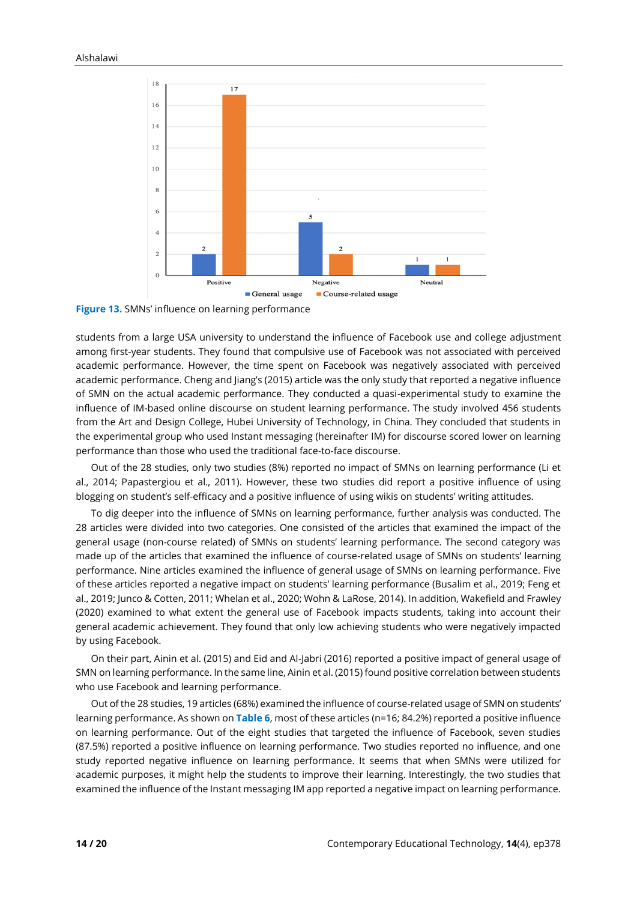

**Figure 13.** SMNs' influence on learning performance

students from a large USA university to understand the influence of Facebook use and college adjustment among first-year students. They found that compulsive use of Facebook was not associated with perceived academic performance. However, the time spent on Facebook was negatively associated with perceived academic performance. Cheng and Jiang's (2015) article was the only study that reported a negative influence of SMN on the actual academic performance. They conducted a quasi-experimental study to examine the influence of IM-based online discourse on student learning performance. The study involved 456 students from the Art and Design College, Hubei University of Technology, in China. They concluded that students in the experimental group who used Instant messaging (hereinafter IM) for discourse scored lower on learning performance than those who used the traditional face-to-face discourse.

Out of the 28 studies, only two studies (8%) reported no impact of SMNs on learning performance (Li et al., 2014; Papastergiou et al., 2011). However, these two studies did report a positive influence of using blogging on student's self-efficacy and a positive influence of using wikis on students' writing attitudes.

To dig deeper into the influence of SMNs on learning performance, further analysis was conducted. The 28 articles were divided into two categories. One consisted of the articles that examined the impact of the general usage (non-course related) of SMNs on students' learning performance. The second category was made up of the articles that examined the influence of course-related usage of SMNs on students' learning performance. Nine articles examined the influence of general usage of SMNs on learning performance. Five of these articles reported a negative impact on students' learning performance (Busalim et al., 2019; Feng et al., 2019; Junco & Cotten, 2011; Whelan et al., 2020; Wohn & LaRose, 2014). In addition, Wakefield and Frawley (2020) examined to what extent the general use of Facebook impacts students, taking into account their general academic achievement. They found that only low achieving students who were negatively impacted by using Facebook.

On their part, Ainin et al. (2015) and Eid and Al-Jabri (2016) reported a positive impact of general usage of SMN on learning performance. In the same line, Ainin et al. (2015) found positive correlation between students who use Facebook and learning performance.

Out of the 28 studies, 19 articles (68%) examined the influence of course-related usage of SMN on students' learning performance. As shown on **Table 6**, most of these articles (n=16; 84.2%) reported a positive influence on learning performance. Out of the eight studies that targeted the influence of Facebook, seven studies (87.5%) reported a positive influence on learning performance. Two studies reported no influence, and one study reported negative influence on learning performance. It seems that when SMNs were utilized for academic purposes, it might help the students to improve their learning. Interestingly, the two studies that examined the influence of the Instant messaging IM app reported a negative impact on learning performance.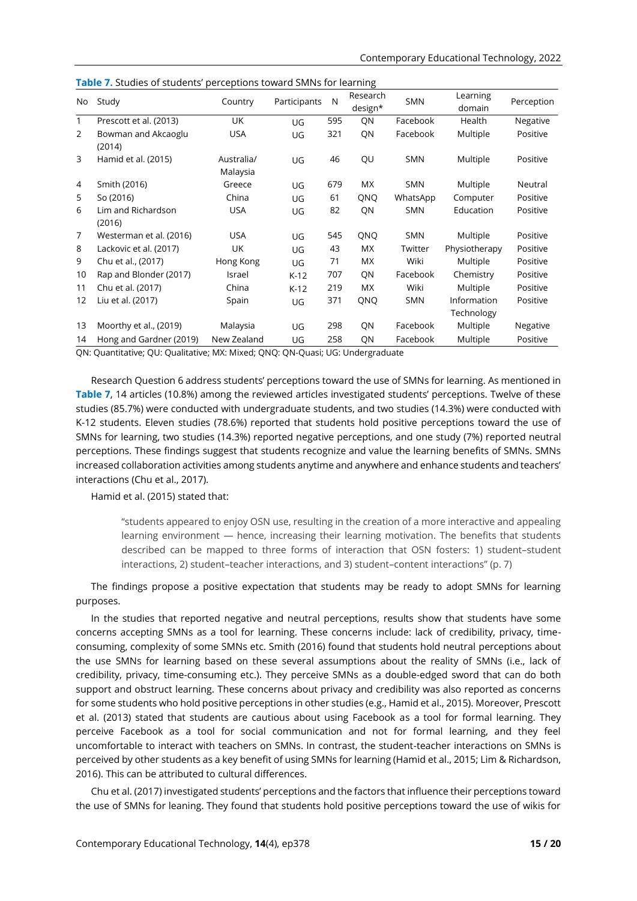| No             | Study                         | Country                | Participants | N   | Research<br>design* | <b>SMN</b> | Learning<br>domain        | Perception |
|----------------|-------------------------------|------------------------|--------------|-----|---------------------|------------|---------------------------|------------|
| 1              | Prescott et al. (2013)        | UK                     | UG           | 595 | QN                  | Facebook   | Health                    | Negative   |
| 2              | Bowman and Akcaoglu<br>(2014) | <b>USA</b>             | UG           | 321 | QN                  | Facebook   | Multiple                  | Positive   |
| 3              | Hamid et al. (2015)           | Australia/<br>Malaysia | UG           | 46  | QU                  | <b>SMN</b> | Multiple                  | Positive   |
| 4              | Smith (2016)                  | Greece                 | UG           | 679 | МX                  | <b>SMN</b> | Multiple                  | Neutral    |
| 5              | So (2016)                     | China                  | UG           | 61  | QNQ                 | WhatsApp   | Computer                  | Positive   |
| 6              | Lim and Richardson<br>(2016)  | <b>USA</b>             | UG           | 82  | QN                  | <b>SMN</b> | Education                 | Positive   |
| $\overline{7}$ | Westerman et al. (2016)       | <b>USA</b>             | UG           | 545 | QNQ                 | <b>SMN</b> | Multiple                  | Positive   |
| 8              | Lackovic et al. (2017)        | UK                     | UG           | 43  | МX                  | Twitter    | Physiotherapy             | Positive   |
| 9              | Chu et al., (2017)            | Hong Kong              | UG           | 71  | МX                  | Wiki       | Multiple                  | Positive   |
| 10             | Rap and Blonder (2017)        | Israel                 | $K-12$       | 707 | QN                  | Facebook   | Chemistry                 | Positive   |
| 11             | Chu et al. (2017)             | China                  | $K-12$       | 219 | МX                  | Wiki       | Multiple                  | Positive   |
| 12             | Liu et al. (2017)             | Spain                  | UG           | 371 | QNQ                 | <b>SMN</b> | Information<br>Technology | Positive   |
| 13             | Moorthy et al., (2019)        | Malaysia               | UG           | 298 | QN                  | Facebook   | Multiple                  | Negative   |
| 14             | Hong and Gardner (2019)       | New Zealand            | UG           | 258 | QN                  | Facebook   | Multiple                  | Positive   |

**Table 7.** Studies of students' perceptions toward SMNs for learning

QN: Quantitative; QU: Qualitative; MX: Mixed; QNQ: QN-Quasi; UG: Undergraduate

Research Question 6 address students' perceptions toward the use of SMNs for learning. As mentioned in **Table 7**, 14 articles (10.8%) among the reviewed articles investigated students' perceptions. Twelve of these studies (85.7%) were conducted with undergraduate students, and two studies (14.3%) were conducted with K-12 students. Eleven studies (78.6%) reported that students hold positive perceptions toward the use of SMNs for learning, two studies (14.3%) reported negative perceptions, and one study (7%) reported neutral perceptions. These findings suggest that students recognize and value the learning benefits of SMNs. SMNs increased collaboration activities among students anytime and anywhere and enhance students and teachers' interactions (Chu et al., 2017).

Hamid et al. (2015) stated that:

"students appeared to enjoy OSN use, resulting in the creation of a more interactive and appealing learning environment — hence, increasing their learning motivation. The benefits that students described can be mapped to three forms of interaction that OSN fosters: 1) student–student interactions, 2) student–teacher interactions, and 3) student–content interactions" (p. 7)

The findings propose a positive expectation that students may be ready to adopt SMNs for learning purposes.

In the studies that reported negative and neutral perceptions, results show that students have some concerns accepting SMNs as a tool for learning. These concerns include: lack of credibility, privacy, timeconsuming, complexity of some SMNs etc. Smith (2016) found that students hold neutral perceptions about the use SMNs for learning based on these several assumptions about the reality of SMNs (i.e., lack of credibility, privacy, time-consuming etc.). They perceive SMNs as a double-edged sword that can do both support and obstruct learning. These concerns about privacy and credibility was also reported as concerns for some students who hold positive perceptions in other studies (e.g., Hamid et al., 2015). Moreover, Prescott et al. (2013) stated that students are cautious about using Facebook as a tool for formal learning. They perceive Facebook as a tool for social communication and not for formal learning, and they feel uncomfortable to interact with teachers on SMNs. In contrast, the student-teacher interactions on SMNs is perceived by other students as a key benefit of using SMNs for learning (Hamid et al., 2015; Lim & Richardson, 2016). This can be attributed to cultural differences.

Chu et al. (2017) investigated students' perceptions and the factors that influence their perceptions toward the use of SMNs for leaning. They found that students hold positive perceptions toward the use of wikis for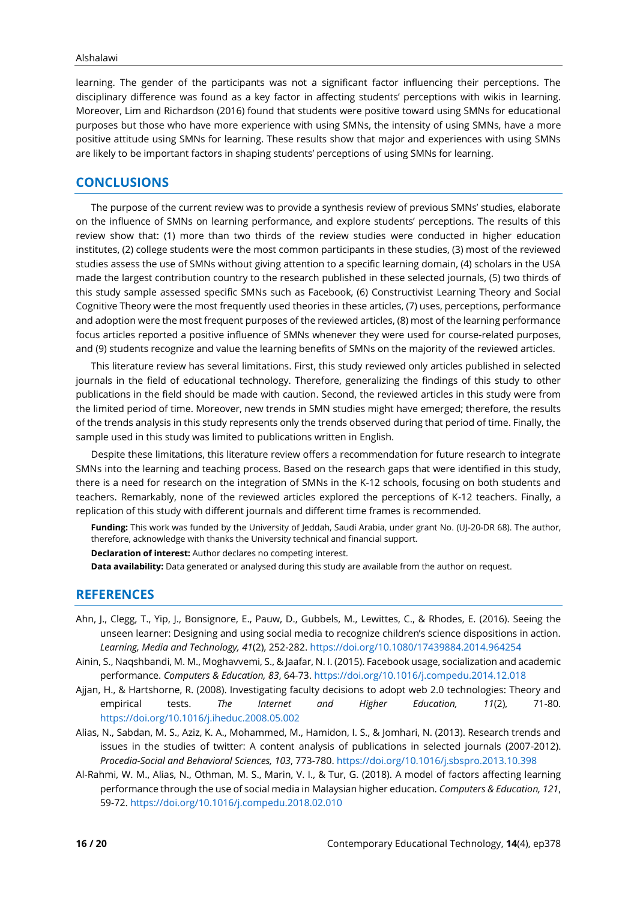learning. The gender of the participants was not a significant factor influencing their perceptions. The disciplinary difference was found as a key factor in affecting students' perceptions with wikis in learning. Moreover, Lim and Richardson (2016) found that students were positive toward using SMNs for educational purposes but those who have more experience with using SMNs, the intensity of using SMNs, have a more positive attitude using SMNs for learning. These results show that major and experiences with using SMNs are likely to be important factors in shaping students' perceptions of using SMNs for learning.

# **CONCLUSIONS**

The purpose of the current review was to provide a synthesis review of previous SMNs' studies, elaborate on the influence of SMNs on learning performance, and explore students' perceptions. The results of this review show that: (1) more than two thirds of the review studies were conducted in higher education institutes, (2) college students were the most common participants in these studies, (3) most of the reviewed studies assess the use of SMNs without giving attention to a specific learning domain, (4) scholars in the USA made the largest contribution country to the research published in these selected journals, (5) two thirds of this study sample assessed specific SMNs such as Facebook, (6) Constructivist Learning Theory and Social Cognitive Theory were the most frequently used theories in these articles, (7) uses, perceptions, performance and adoption were the most frequent purposes of the reviewed articles, (8) most of the learning performance focus articles reported a positive influence of SMNs whenever they were used for course-related purposes, and (9) students recognize and value the learning benefits of SMNs on the majority of the reviewed articles.

This literature review has several limitations. First, this study reviewed only articles published in selected journals in the field of educational technology. Therefore, generalizing the findings of this study to other publications in the field should be made with caution. Second, the reviewed articles in this study were from the limited period of time. Moreover, new trends in SMN studies might have emerged; therefore, the results of the trends analysis in this study represents only the trends observed during that period of time. Finally, the sample used in this study was limited to publications written in English.

Despite these limitations, this literature review offers a recommendation for future research to integrate SMNs into the learning and teaching process. Based on the research gaps that were identified in this study, there is a need for research on the integration of SMNs in the K-12 schools, focusing on both students and teachers. Remarkably, none of the reviewed articles explored the perceptions of K-12 teachers. Finally, a replication of this study with different journals and different time frames is recommended.

**Funding:** This work was funded by the University of Jeddah, Saudi Arabia, under grant No. (UJ-20-DR 68). The author, therefore, acknowledge with thanks the University technical and financial support.

**Declaration of interest:** Author declares no competing interest.

**Data availability:** Data generated or analysed during this study are available from the author on request.

# **REFERENCES**

- Ahn, J., Clegg, T., Yip, J., Bonsignore, E., Pauw, D., Gubbels, M., Lewittes, C., & Rhodes, E. (2016). Seeing the unseen learner: Designing and using social media to recognize children's science dispositions in action. *Learning, Media and Technology, 41*(2), 252-282. <https://doi.org/10.1080/17439884.2014.964254>
- Ainin, S., Naqshbandi, M. M., Moghavvemi, S., & Jaafar, N. I. (2015). Facebook usage, socialization and academic performance. *Computers & Education, 83*, 64-73[. https://doi.org/10.1016/j.compedu.2014.12.018](https://doi.org/10.1016/j.compedu.2014.12.018)
- Ajjan, H., & Hartshorne, R. (2008). Investigating faculty decisions to adopt web 2.0 technologies: Theory and empirical tests. *The Internet and Higher Education, 11*(2), 71-80. <https://doi.org/10.1016/j.iheduc.2008.05.002>
- Alias, N., Sabdan, M. S., Aziz, K. A., Mohammed, M., Hamidon, I. S., & Jomhari, N. (2013). Research trends and issues in the studies of twitter: A content analysis of publications in selected journals (2007-2012). *Procedia-Social and Behavioral Sciences, 103*, 773-780[. https://doi.org/10.1016/j.sbspro.2013.10.398](https://doi.org/10.1016/j.sbspro.2013.10.398)
- Al-Rahmi, W. M., Alias, N., Othman, M. S., Marin, V. I., & Tur, G. (2018). A model of factors affecting learning performance through the use of social media in Malaysian higher education. *Computers & Education, 121*, 59-72.<https://doi.org/10.1016/j.compedu.2018.02.010>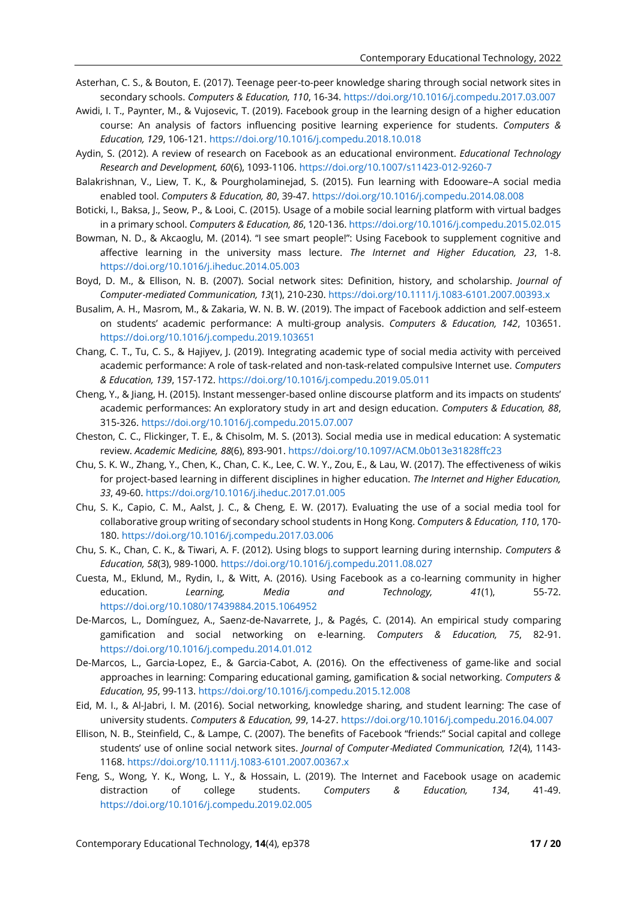- Asterhan, C. S., & Bouton, E. (2017). Teenage peer-to-peer knowledge sharing through social network sites in secondary schools. *Computers & Education, 110*, 16-34[. https://doi.org/10.1016/j.compedu.2017.03.007](https://doi.org/10.1016/j.compedu.2017.03.007)
- Awidi, I. T., Paynter, M., & Vujosevic, T. (2019). Facebook group in the learning design of a higher education course: An analysis of factors influencing positive learning experience for students. *Computers & Education, 129*, 106-121. <https://doi.org/10.1016/j.compedu.2018.10.018>
- Aydin, S. (2012). A review of research on Facebook as an educational environment. *Educational Technology Research and Development, 60*(6), 1093-1106[. https://doi.org/10.1007/s11423-012-9260-7](https://doi.org/10.1007/s11423-012-9260-7)
- Balakrishnan, V., Liew, T. K., & Pourgholaminejad, S. (2015). Fun learning with Edooware–A social media enabled tool. *Computers & Education, 80*, 39-47[. https://doi.org/10.1016/j.compedu.2014.08.008](https://doi.org/10.1016/j.compedu.2014.08.008)
- Boticki, I., Baksa, J., Seow, P., & Looi, C. (2015). Usage of a mobile social learning platform with virtual badges in a primary school. *Computers & Education, 86*, 120-136. <https://doi.org/10.1016/j.compedu.2015.02.015>
- Bowman, N. D., & Akcaoglu, M. (2014). "I see smart people!": Using Facebook to supplement cognitive and affective learning in the university mass lecture. *The Internet and Higher Education, 23*, 1-8. <https://doi.org/10.1016/j.iheduc.2014.05.003>
- Boyd, D. M., & Ellison, N. B. (2007). Social network sites: Definition, history, and scholarship. *Journal of Computer*‐*mediated Communication, 13*(1), 210-230.<https://doi.org/10.1111/j.1083-6101.2007.00393.x>
- Busalim, A. H., Masrom, M., & Zakaria, W. N. B. W. (2019). The impact of Facebook addiction and self-esteem on students' academic performance: A multi-group analysis. *Computers & Education, 142*, 103651. <https://doi.org/10.1016/j.compedu.2019.103651>
- Chang, C. T., Tu, C. S., & Hajiyev, J. (2019). Integrating academic type of social media activity with perceived academic performance: A role of task-related and non-task-related compulsive Internet use. *Computers & Education, 139*, 157-172. <https://doi.org/10.1016/j.compedu.2019.05.011>
- Cheng, Y., & Jiang, H. (2015). Instant messenger-based online discourse platform and its impacts on students' academic performances: An exploratory study in art and design education. *Computers & Education, 88*, 315-326.<https://doi.org/10.1016/j.compedu.2015.07.007>
- Cheston, C. C., Flickinger, T. E., & Chisolm, M. S. (2013). Social media use in medical education: A systematic review. *Academic Medicine, 88*(6), 893-901[. https://doi.org/10.1097/ACM.0b013e31828ffc23](https://doi.org/10.1097/ACM.0b013e31828ffc23)
- Chu, S. K. W., Zhang, Y., Chen, K., Chan, C. K., Lee, C. W. Y., Zou, E., & Lau, W. (2017). The effectiveness of wikis for project-based learning in different disciplines in higher education. *The Internet and Higher Education, 33*, 49-60.<https://doi.org/10.1016/j.iheduc.2017.01.005>
- Chu, S. K., Capio, C. M., Aalst, J. C., & Cheng, E. W. (2017). Evaluating the use of a social media tool for collaborative group writing of secondary school students in Hong Kong. *Computers & Education, 110*, 170- 180.<https://doi.org/10.1016/j.compedu.2017.03.006>
- Chu, S. K., Chan, C. K., & Tiwari, A. F. (2012). Using blogs to support learning during internship. *Computers & Education, 58*(3), 989-1000[. https://doi.org/10.1016/j.compedu.2011.08.027](https://doi.org/10.1016/j.compedu.2011.08.027)
- Cuesta, M., Eklund, M., Rydin, I., & Witt, A. (2016). Using Facebook as a co-learning community in higher education. *Learning, Media and Technology, 41*(1), 55-72. <https://doi.org/10.1080/17439884.2015.1064952>
- De-Marcos, L., Domínguez, A., Saenz-de-Navarrete, J., & Pagés, C. (2014). An empirical study comparing gamification and social networking on e-learning. *Computers & Education, 75*, 82-91. <https://doi.org/10.1016/j.compedu.2014.01.012>
- De-Marcos, L., Garcia-Lopez, E., & Garcia-Cabot, A. (2016). On the effectiveness of game-like and social approaches in learning: Comparing educational gaming, gamification & social networking. *Computers & Education, 95*, 99-113[. https://doi.org/10.1016/j.compedu.2015.12.008](https://doi.org/10.1016/j.compedu.2015.12.008)
- Eid, M. I., & Al-Jabri, I. M. (2016). Social networking, knowledge sharing, and student learning: The case of university students. *Computers & Education, 99*, 14-27.<https://doi.org/10.1016/j.compedu.2016.04.007>
- Ellison, N. B., Steinfield, C., & Lampe, C. (2007). The benefits of Facebook "friends:" Social capital and college students' use of online social network sites. *Journal of Computer*‐*Mediated Communication, 12*(4), 1143- 1168.<https://doi.org/10.1111/j.1083-6101.2007.00367.x>
- Feng, S., Wong, Y. K., Wong, L. Y., & Hossain, L. (2019). The Internet and Facebook usage on academic distraction of college students. *Computers & Education, 134*, 41-49. <https://doi.org/10.1016/j.compedu.2019.02.005>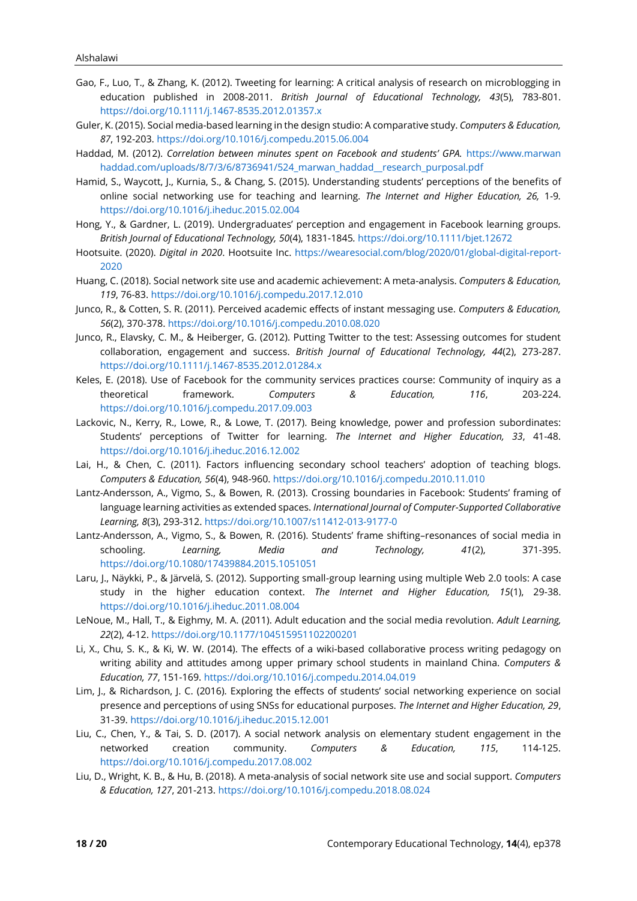- Gao, F., Luo, T., & Zhang, K. (2012). Tweeting for learning: A critical analysis of research on microblogging in education published in 2008-2011. *British Journal of Educational Technology, 43*(5), 783-801. <https://doi.org/10.1111/j.1467-8535.2012.01357.x>
- Guler, K. (2015). Social media-based learning in the design studio: A comparative study. *Computers & Education, 87*, 192-203[. https://doi.org/10.1016/j.compedu.2015.06.004](https://doi.org/10.1016/j.compedu.2015.06.004)
- Haddad, M. (2012). *Correlation between minutes spent on Facebook and students' GPA.* [https://www.marwan](https://www.marwanhaddad.com/uploads/8/7/3/6/8736941/524_marwan_haddad__research_purposal.pdf) [haddad.com/uploads/8/7/3/6/8736941/524\\_marwan\\_haddad\\_\\_research\\_purposal.pdf](https://www.marwanhaddad.com/uploads/8/7/3/6/8736941/524_marwan_haddad__research_purposal.pdf)
- Hamid, S., Waycott, J., Kurnia, S., & Chang, S. (2015). Understanding students' perceptions of the benefits of online social networking use for teaching and learning. *The Internet and Higher Education, 26,* 1-9*.* <https://doi.org/10.1016/j.iheduc.2015.02.004>
- Hong, Y., & Gardner, L. (2019). Undergraduates' perception and engagement in Facebook learning groups. *British Journal of Educational Technology, 50*(4), 1831-1845*.* <https://doi.org/10.1111/bjet.12672>
- Hootsuite. (2020). *Digital in 2020*. Hootsuite Inc. [https://wearesocial.com/blog/2020/01/global-digital-report-](https://wearesocial.com/blog/2020/01/global-digital-report-2020)[2020](https://wearesocial.com/blog/2020/01/global-digital-report-2020)
- Huang, C. (2018). Social network site use and academic achievement: A meta-analysis. *Computers & Education, 119*, 76-83.<https://doi.org/10.1016/j.compedu.2017.12.010>
- Junco, R., & Cotten, S. R. (2011). Perceived academic effects of instant messaging use. *Computers & Education, 56*(2), 370-378.<https://doi.org/10.1016/j.compedu.2010.08.020>
- Junco, R., Elavsky, C. M., & Heiberger, G. (2012). Putting Twitter to the test: Assessing outcomes for student collaboration, engagement and success. *British Journal of Educational Technology, 44*(2), 273-287. <https://doi.org/10.1111/j.1467-8535.2012.01284.x>
- Keles, E. (2018). Use of Facebook for the community services practices course: Community of inquiry as a theoretical framework. *Computers & Education, 116*, 203-224. <https://doi.org/10.1016/j.compedu.2017.09.003>
- Lackovic, N., Kerry, R., Lowe, R., & Lowe, T. (2017). Being knowledge, power and profession subordinates: Students' perceptions of Twitter for learning. *The Internet and Higher Education, 33*, 41-48. <https://doi.org/10.1016/j.iheduc.2016.12.002>
- Lai, H., & Chen, C. (2011). Factors influencing secondary school teachers' adoption of teaching blogs. *Computers & Education, 56*(4), 948-960.<https://doi.org/10.1016/j.compedu.2010.11.010>
- Lantz-Andersson, A., Vigmo, S., & Bowen, R. (2013). Crossing boundaries in Facebook: Students' framing of language learning activities as extended spaces. *International Journal of Computer-Supported Collaborative Learning, 8*(3), 293-312.<https://doi.org/10.1007/s11412-013-9177-0>
- Lantz-Andersson, A., Vigmo, S., & Bowen, R. (2016). Students' frame shifting–resonances of social media in schooling. *Learning, Media and Technology, 41*(2), 371-395. <https://doi.org/10.1080/17439884.2015.1051051>
- Laru, J., Näykki, P., & Järvelä, S. (2012). Supporting small-group learning using multiple Web 2.0 tools: A case study in the higher education context. *The Internet and Higher Education, 15*(1), 29-38. <https://doi.org/10.1016/j.iheduc.2011.08.004>
- LeNoue, M., Hall, T., & Eighmy, M. A. (2011). Adult education and the social media revolution. *Adult Learning, 22*(2), 4-12[. https://doi.org/10.1177/104515951102200201](https://doi.org/10.1177/104515951102200201)
- Li, X., Chu, S. K., & Ki, W. W. (2014). The effects of a wiki-based collaborative process writing pedagogy on writing ability and attitudes among upper primary school students in mainland China. *Computers & Education, 77*, 151-169[. https://doi.org/10.1016/j.compedu.2014.04.019](https://doi.org/10.1016/j.compedu.2014.04.019)
- Lim, J., & Richardson, J. C. (2016). Exploring the effects of students' social networking experience on social presence and perceptions of using SNSs for educational purposes. *The Internet and Higher Education, 29*, 31-39.<https://doi.org/10.1016/j.iheduc.2015.12.001>
- Liu, C., Chen, Y., & Tai, S. D. (2017). A social network analysis on elementary student engagement in the networked creation community. *Computers & Education, 115*, 114-125. <https://doi.org/10.1016/j.compedu.2017.08.002>
- Liu, D., Wright, K. B., & Hu, B. (2018). A meta-analysis of social network site use and social support. *Computers & Education, 127*, 201-213.<https://doi.org/10.1016/j.compedu.2018.08.024>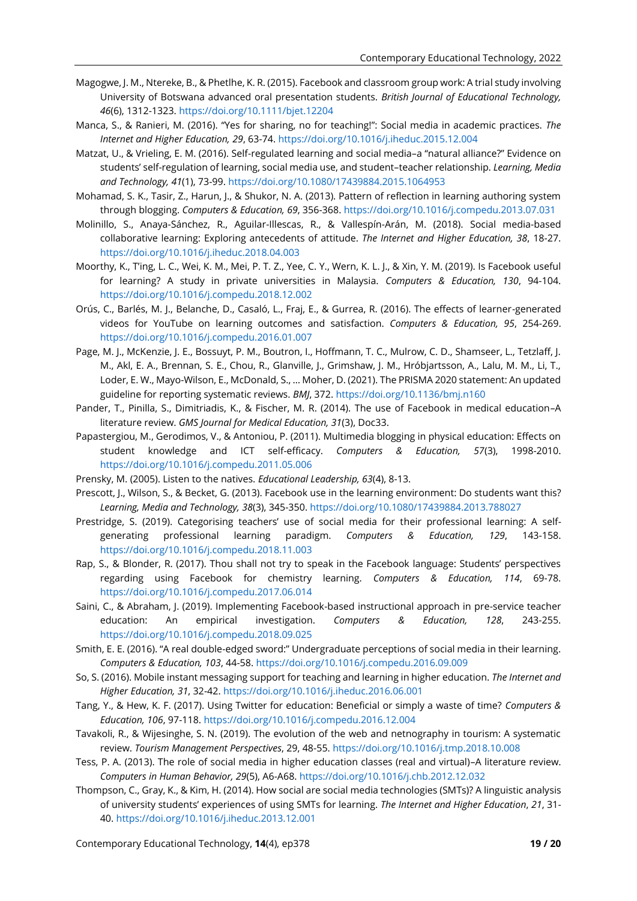- Magogwe, J. M., Ntereke, B., & Phetlhe, K. R. (2015). Facebook and classroom group work: A trial study involving University of Botswana advanced oral presentation students. *British Journal of Educational Technology, 46*(6), 1312-1323[. https://doi.org/10.1111/bjet.12204](https://doi.org/10.1111/bjet.12204)
- Manca, S., & Ranieri, M. (2016). "Yes for sharing, no for teaching!": Social media in academic practices. *The Internet and Higher Education, 29*, 63-74.<https://doi.org/10.1016/j.iheduc.2015.12.004>
- Matzat, U., & Vrieling, E. M. (2016). Self-regulated learning and social media–a "natural alliance?" Evidence on students' self-regulation of learning, social media use, and student–teacher relationship. *Learning, Media and Technology, 41*(1), 73-99. <https://doi.org/10.1080/17439884.2015.1064953>
- Mohamad, S. K., Tasir, Z., Harun, J., & Shukor, N. A. (2013). Pattern of reflection in learning authoring system through blogging. *Computers & Education, 69*, 356-368[. https://doi.org/10.1016/j.compedu.2013.07.031](https://doi.org/10.1016/j.compedu.2013.07.031)
- Molinillo, S., Anaya-Sánchez, R., Aguilar-Illescas, R., & Vallespín-Arán, M. (2018). Social media-based collaborative learning: Exploring antecedents of attitude. *The Internet and Higher Education, 38*, 18-27. <https://doi.org/10.1016/j.iheduc.2018.04.003>
- Moorthy, K., T'ing, L. C., Wei, K. M., Mei, P. T. Z., Yee, C. Y., Wern, K. L. J., & Xin, Y. M. (2019). Is Facebook useful for learning? A study in private universities in Malaysia. *Computers & Education, 130*, 94-104. <https://doi.org/10.1016/j.compedu.2018.12.002>
- Orús, C., Barlés, M. J., Belanche, D., Casaló, L., Fraj, E., & Gurrea, R. (2016). The effects of learner-generated videos for YouTube on learning outcomes and satisfaction. *Computers & Education, 95*, 254-269. <https://doi.org/10.1016/j.compedu.2016.01.007>
- Page, M. J., McKenzie, J. E., Bossuyt, P. M., Boutron, I., Hoffmann, T. C., Mulrow, C. D., Shamseer, L., Tetzlaff, J. M., Akl, E. A., Brennan, S. E., Chou, R., Glanville, J., Grimshaw, J. M., Hróbjartsson, A., Lalu, M. M., Li, T., Loder, E. W., Mayo-Wilson, E., McDonald, S., … Moher, D. (2021). The PRISMA 2020 statement: An updated guideline for reporting systematic reviews. *BMJ*, 372. <https://doi.org/10.1136/bmj.n160>
- Pander, T., Pinilla, S., Dimitriadis, K., & Fischer, M. R. (2014). The use of Facebook in medical education–A literature review. *GMS Journal for Medical Education, 31*(3), Doc33.
- Papastergiou, M., Gerodimos, V., & Antoniou, P. (2011). Multimedia blogging in physical education: Effects on student knowledge and ICT self-efficacy. *Computers & Education, 57*(3), 1998-2010. <https://doi.org/10.1016/j.compedu.2011.05.006>
- Prensky, M. (2005). Listen to the natives. *Educational Leadership, 63*(4), 8-13.
- Prescott, J., Wilson, S., & Becket, G. (2013). Facebook use in the learning environment: Do students want this? *Learning, Media and Technology, 38*(3), 345-350[. https://doi.org/10.1080/17439884.2013.788027](https://doi.org/10.1080/17439884.2013.788027)
- Prestridge, S. (2019). Categorising teachers' use of social media for their professional learning: A selfgenerating professional learning paradigm. *Computers & Education, 129*, 143-158. <https://doi.org/10.1016/j.compedu.2018.11.003>
- Rap, S., & Blonder, R. (2017). Thou shall not try to speak in the Facebook language: Students' perspectives regarding using Facebook for chemistry learning. *Computers & Education, 114*, 69-78. <https://doi.org/10.1016/j.compedu.2017.06.014>
- Saini, C., & Abraham, J. (2019). Implementing Facebook-based instructional approach in pre-service teacher education: An empirical investigation. *Computers & Education, 128*, 243-255. <https://doi.org/10.1016/j.compedu.2018.09.025>
- Smith, E. E. (2016). "A real double-edged sword:" Undergraduate perceptions of social media in their learning. *Computers & Education, 103*, 44-58[. https://doi.org/10.1016/j.compedu.2016.09.009](https://doi.org/10.1016/j.compedu.2016.09.009)
- So, S. (2016). Mobile instant messaging support for teaching and learning in higher education. *The Internet and Higher Education, 31*, 32-42.<https://doi.org/10.1016/j.iheduc.2016.06.001>
- Tang, Y., & Hew, K. F. (2017). Using Twitter for education: Beneficial or simply a waste of time? *Computers & Education, 106*, 97-118[. https://doi.org/10.1016/j.compedu.2016.12.004](https://doi.org/10.1016/j.compedu.2016.12.004)
- Tavakoli, R., & Wijesinghe, S. N. (2019). The evolution of the web and netnography in tourism: A systematic review. *Tourism Management Perspectives*, 29, 48-55. <https://doi.org/10.1016/j.tmp.2018.10.008>
- Tess, P. A. (2013). The role of social media in higher education classes (real and virtual)–A literature review. *Computers in Human Behavior, 29*(5), A6-A68.<https://doi.org/10.1016/j.chb.2012.12.032>
- Thompson, C., Gray, K., & Kim, H. (2014). How social are social media technologies (SMTs)? A linguistic analysis of university students' experiences of using SMTs for learning. *The Internet and Higher Education*, *21*, 31- 40. <https://doi.org/10.1016/j.iheduc.2013.12.001>